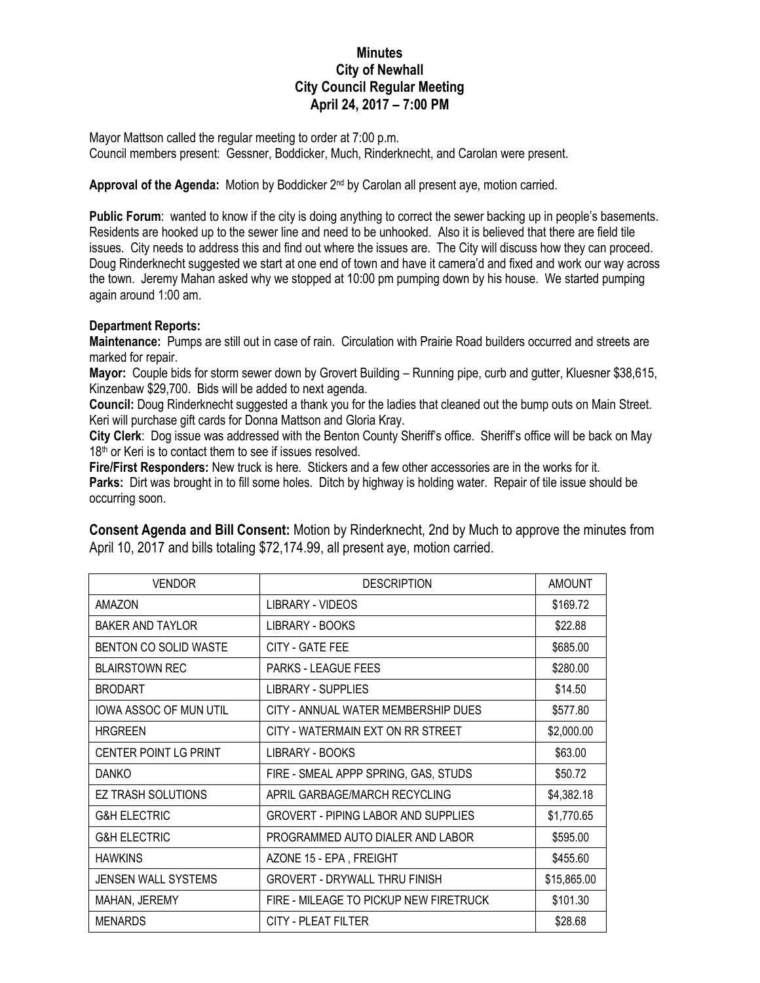## **Minutes City of Newhall City Council Regular Meeting April 24, 2017 – 7:00 PM**

Mayor Mattson called the regular meeting to order at 7:00 p.m. Council members present: Gessner, Boddicker, Much, Rinderknecht, and Carolan were present.

Approval of the Agenda: Motion by Boddicker 2<sup>nd</sup> by Carolan all present aye, motion carried.

**Public Forum**: wanted to know if the city is doing anything to correct the sewer backing up in people's basements. Residents are hooked up to the sewer line and need to be unhooked. Also it is believed that there are field tile issues. City needs to address this and find out where the issues are. The City will discuss how they can proceed. Doug Rinderknecht suggested we start at one end of town and have it camera'd and fixed and work our way across the town. Jeremy Mahan asked why we stopped at 10:00 pm pumping down by his house. We started pumping again around 1:00 am.

## **Department Reports:**

**Maintenance:** Pumps are still out in case of rain. Circulation with Prairie Road builders occurred and streets are marked for repair.

**Mayor:** Couple bids for storm sewer down by Grovert Building – Running pipe, curb and gutter, Kluesner \$38,615, Kinzenbaw \$29,700. Bids will be added to next agenda.

**Council:** Doug Rinderknecht suggested a thank you for the ladies that cleaned out the bump outs on Main Street. Keri will purchase gift cards for Donna Mattson and Gloria Kray.

**City Clerk**: Dog issue was addressed with the Benton County Sheriff's office. Sheriff's office will be back on May 18<sup>th</sup> or Keri is to contact them to see if issues resolved.

**Fire/First Responders:** New truck is here. Stickers and a few other accessories are in the works for it. **Parks:** Dirt was brought in to fill some holes. Ditch by highway is holding water. Repair of tile issue should be occurring soon.

| <b>VENDOR</b>                 | <b>DESCRIPTION</b>                         | <b>AMOUNT</b> |
|-------------------------------|--------------------------------------------|---------------|
| <b>AMAZON</b>                 | LIBRARY - VIDEOS                           | \$169.72      |
| BAKER AND TAYLOR              | LIBRARY - BOOKS                            | \$22.88       |
| BENTON CO SOLID WASTE         | CITY - GATE FEE                            | \$685.00      |
| <b>BLAIRSTOWN REC</b>         | <b>PARKS - LEAGUE FEES</b>                 | \$280.00      |
| <b>BRODART</b>                | LIBRARY - SUPPLIES                         | \$14.50       |
| <b>IOWA ASSOC OF MUN UTIL</b> | CITY - ANNUAL WATER MEMBERSHIP DUES        | \$577.80      |
| <b>HRGREEN</b>                | CITY - WATERMAIN EXT ON RR STREET          | \$2,000.00    |
| <b>CENTER POINT LG PRINT</b>  | LIBRARY - BOOKS                            | \$63.00       |
| <b>DANKO</b>                  | FIRE - SMEAL APPP SPRING, GAS, STUDS       | \$50.72       |
| <b>EZ TRASH SOLUTIONS</b>     | APRIL GARBAGE/MARCH RECYCLING              | \$4,382.18    |
| <b>G&amp;H ELECTRIC</b>       | <b>GROVERT - PIPING LABOR AND SUPPLIES</b> | \$1,770.65    |
| <b>G&amp;H ELECTRIC</b>       | PROGRAMMED AUTO DIALER AND LABOR           | \$595.00      |
| <b>HAWKINS</b>                | AZONE 15 - EPA, FREIGHT                    | \$455.60      |
| <b>JENSEN WALL SYSTEMS</b>    | <b>GROVERT - DRYWALL THRU FINISH</b>       | \$15,865.00   |
| MAHAN, JEREMY                 | FIRE - MILEAGE TO PICKUP NEW FIRETRUCK     | \$101.30      |
| <b>MENARDS</b>                | CITY - PLEAT FILTER                        | \$28.68       |

**Consent Agenda and Bill Consent:** Motion by Rinderknecht, 2nd by Much to approve the minutes from April 10, 2017 and bills totaling \$72,174.99, all present aye, motion carried.